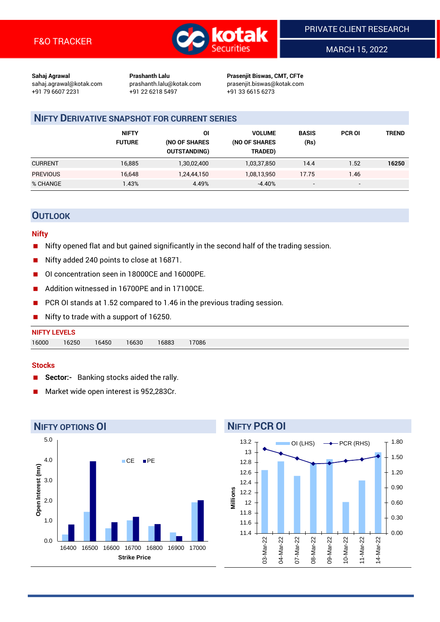

MARCH 15, 2022

**Sahaj Agrawal Prashanth Lalu Prasenjit Biswas, CMT, CFTe** +91 79 6607 2231 +91 22 6218 5497 +91 33 6615 6273

sahaj.agrawal@kotak.com [prashanth.lalu@kotak.com](mailto:prashanth.lalu@kotak.com) prasenjit.biswas@kotak.com

# **NIFTY DERIVATIVE SNAPSHOT FOR CURRENT SERIES**

|                 | <b>NIFTY</b><br><b>FUTURE</b> | ΟI<br>(NO OF SHARES<br><b>OUTSTANDING)</b> | <b>VOLUME</b><br>(NO OF SHARES<br>TRADED) | <b>BASIS</b><br>(Rs)     | <b>PCR OI</b>            | TREND |
|-----------------|-------------------------------|--------------------------------------------|-------------------------------------------|--------------------------|--------------------------|-------|
| <b>CURRENT</b>  | 16,885                        | 1,30,02,400                                | 1,03,37,850                               | 14.4                     | 1.52                     | 16250 |
| <b>PREVIOUS</b> | 16,648                        | 1,24,44,150                                | 1,08,13,950                               | 17.75                    | 1.46                     |       |
| % CHANGE        | $1.43\%$                      | 4.49%                                      | $-4.40%$                                  | $\overline{\phantom{a}}$ | $\overline{\phantom{0}}$ |       |

## **OUTLOOK**

#### **Nifty**

- Nifty opened flat and but gained significantly in the second half of the trading session.
- Nifty added 240 points to close at 16871.
- OI concentration seen in 18000CE and 16000PE.
- Addition witnessed in 16700PE and in 17100CE.
- PCR OI stands at 1.52 compared to 1.46 in the previous trading session.
- Nifty to trade with a support of 16250.

# **NIFTY LEVELS** 16000 16250 16450 16630 16883 17086

#### **Stocks**

- **Sector:-** Banking stocks aided the rally.
- Market wide open interest is 952,283Cr.

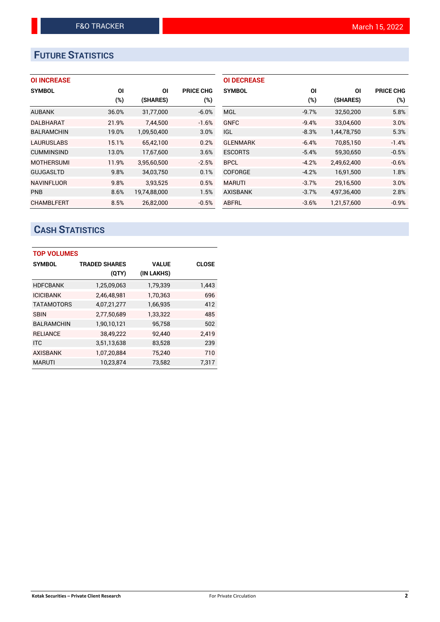# **FUTURE STATISTICS**

## **OI INCREASE**

| <b>SYMBOL</b>     | ΟI    | ΟI           | <b>PRICE CHG</b> |
|-------------------|-------|--------------|------------------|
|                   | (%)   | (SHARES)     | (%)              |
| <b>AUBANK</b>     | 36.0% | 31,77,000    | $-6.0%$          |
| <b>DALBHARAT</b>  | 21.9% | 7.44.500     | $-1.6%$          |
| <b>BALRAMCHIN</b> | 19.0% | 1,09,50,400  | 3.0%             |
| <b>LAURUSLABS</b> | 15.1% | 65,42,100    | 0.2%             |
| <b>CUMMINSIND</b> | 13.0% | 17,67,600    | 3.6%             |
| <b>MOTHERSUMI</b> | 11.9% | 3,95,60,500  | $-2.5%$          |
| <b>GUJGASLTD</b>  | 9.8%  | 34,03,750    | 0.1%             |
| <b>NAVINFLUOR</b> | 9.8%  | 3,93,525     | 0.5%             |
| <b>PNB</b>        | 8.6%  | 19,74,88,000 | 1.5%             |
| <b>CHAMBLFERT</b> | 8.5%  | 26.82.000    | $-0.5%$          |

| <b>OI DECREASE</b> |         |             |                  |
|--------------------|---------|-------------|------------------|
| <b>SYMBOL</b>      | ΟI      | ΟI          | <b>PRICE CHG</b> |
|                    | (%)     | (SHARES)    | $(\%)$           |
| <b>MGL</b>         | $-9.7%$ | 32,50,200   | 5.8%             |
| <b>GNFC</b>        | $-9.4%$ | 33,04,600   | 3.0%             |
| IGL.               | $-8.3%$ | 1,44,78,750 | 5.3%             |
| <b>GLENMARK</b>    | $-6.4%$ | 70,85,150   | $-1.4%$          |
| <b>ESCORTS</b>     | $-5.4%$ | 59,30,650   | $-0.5%$          |
| <b>BPCL</b>        | $-4.2%$ | 2,49,62,400 | $-0.6%$          |
| <b>COFORGE</b>     | $-4.2%$ | 16,91,500   | 1.8%             |
| <b>MARUTI</b>      | $-3.7%$ | 29,16,500   | 3.0%             |
| <b>AXISBANK</b>    | $-3.7%$ | 4,97,36,400 | 2.8%             |
| ABFRL              | $-3.6%$ | 1.21.57.600 | $-0.9%$          |

# **CASH STATISTICS**

| <b>TOP VOLUMES</b> |                      |              |              |  |  |  |  |  |  |
|--------------------|----------------------|--------------|--------------|--|--|--|--|--|--|
| <b>SYMBOL</b>      | <b>TRADED SHARES</b> | <b>VALUE</b> | <b>CLOSE</b> |  |  |  |  |  |  |
|                    | (QTY)                | (IN LAKHS)   |              |  |  |  |  |  |  |
| <b>HDFCBANK</b>    | 1,25,09,063          | 1,79,339     | 1,443        |  |  |  |  |  |  |
| <b>ICICIBANK</b>   | 2,46,48,981          | 1,70,363     | 696          |  |  |  |  |  |  |
| <b>TATAMOTORS</b>  | 4,07,21,277          | 1,66,935     | 412          |  |  |  |  |  |  |
| <b>SBIN</b>        | 2,77,50,689          | 1,33,322     | 485          |  |  |  |  |  |  |
| <b>BALRAMCHIN</b>  | 1,90,10,121          | 95,758       | 502          |  |  |  |  |  |  |
| <b>RELIANCE</b>    | 38,49,222            | 92,440       | 2.419        |  |  |  |  |  |  |
| <b>ITC</b>         | 3,51,13,638          | 83,528       | 239          |  |  |  |  |  |  |
| <b>AXISBANK</b>    | 1,07,20,884          | 75,240       | 710          |  |  |  |  |  |  |
| <b>MARUTI</b>      | 10,23,874            | 73,582       | 7,317        |  |  |  |  |  |  |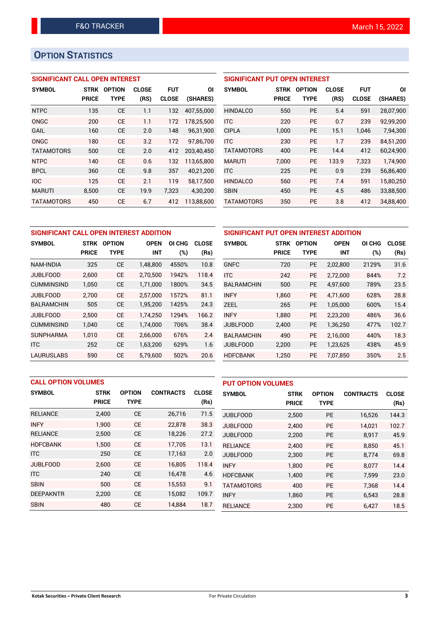# **OPTION STATISTICS**

## **SIGNIFICANT CALL OPEN INTEREST**

| <b>SYMBOL</b>     | <b>STRK</b>  | <b>OPTION</b> | <b>CLOSE</b> | <b>FUT</b>   | ΟI         |
|-------------------|--------------|---------------|--------------|--------------|------------|
|                   | <b>PRICE</b> | TYPE          | (RS)         | <b>CLOSE</b> | (SHARES)   |
| <b>NTPC</b>       | 135          | CE            | 1.1          | 132          | 407,55,000 |
| ONGC              | 200          | CE            | 1.1          | 172          | 178,25,500 |
| GAIL              | 160          | CE            | 2.0          | 148          | 96,31,900  |
| ONGC              | 180          | CE            | 3.2          | 172          | 97,86,700  |
| <b>TATAMOTORS</b> | 500          | CE            | 2.0          | 412          | 203,40,450 |
| <b>NTPC</b>       | 140          | CE            | 0.6          | 132          | 113,65,800 |
| <b>BPCL</b>       | 360          | CE            | 9.8          | 357          | 40,21,200  |
| <b>IOC</b>        | 125          | CF            | 2.1          | 119          | 58,17,500  |
| <b>MARUTI</b>     | 8,500        | CE            | 19.9         | 7,323        | 4,30,200   |
| <b>TATAMOTORS</b> | 450          | CE            | 6.7          | 412          | 113.88.600 |

## **SIGNIFICANT PUT OPEN INTEREST**

| <b>SYMBOL</b>     | <b>STRK</b><br><b>PRICE</b> | <b>OPTION</b><br>TYPE | <b>CLOSE</b><br>(RS) | <b>FUT</b><br><b>CLOSE</b> | ΟI<br>(SHARES) |
|-------------------|-----------------------------|-----------------------|----------------------|----------------------------|----------------|
| <b>HINDALCO</b>   | 550                         | PF                    | 5.4                  | 591                        | 28,07,900      |
| <b>ITC</b>        | 220                         | PF                    | 0.7                  | 239                        | 92,99,200      |
| <b>CIPLA</b>      | 1,000                       | PF                    | 15.1                 | 1,046                      | 7,94,300       |
| <b>ITC</b>        | 230                         | <b>PE</b>             | 1.7                  | 239                        | 84.51.200      |
| <b>TATAMOTORS</b> | 400                         | PF                    | 14.4                 | 412                        | 60,24,900      |
| <b>MARUTI</b>     | 7.000                       | <b>PE</b>             | 133.9                | 7,323                      | 1,74,900       |
| <b>ITC</b>        | 225                         | PF                    | 0.9                  | 239                        | 56,86,400      |
| <b>HINDALCO</b>   | 560                         | PF                    | 7.4                  | 591                        | 15,80,250      |
| <b>SBIN</b>       | 450                         | <b>PE</b>             | 4.5                  | 486                        | 33,88,500      |
| <b>TATAMOTORS</b> | 350                         | PE                    | 3.8                  | 412                        | 34,88,400      |

| SIGNIFICANT CALL OPEN INTEREST ADDITION |              |               |             |        | SIGNIFICANT PUT OPEN INTEREST ADDITION |                   |              |               |             |        |              |
|-----------------------------------------|--------------|---------------|-------------|--------|----------------------------------------|-------------------|--------------|---------------|-------------|--------|--------------|
| <b>SYMBOL</b>                           | <b>STRK</b>  | <b>OPTION</b> | <b>OPEN</b> | OI CHG | <b>CLOSE</b>                           | <b>SYMBOL</b>     | <b>STRK</b>  | <b>OPTION</b> | <b>OPEN</b> | OI CHG | <b>CLOSE</b> |
|                                         | <b>PRICE</b> | <b>TYPE</b>   | <b>INT</b>  | (%)    | (Rs)                                   |                   | <b>PRICE</b> | <b>TYPE</b>   | <b>INT</b>  | (%)    | (Rs)         |
| <b>NAM-INDIA</b>                        | 325          | <b>CE</b>     | 1,48,800    | 4550%  | 10.8                                   | <b>GNFC</b>       | 720          | <b>PE</b>     | 2,02,800    | 2129%  | 31.6         |
| <b>JUBLFOOD</b>                         | 2.600        | <b>CE</b>     | 2.70.500    | 1942%  | 118.4                                  | <b>ITC</b>        | 242          | <b>PE</b>     | 2.72.000    | 844%   | 7.2          |
| <b>CUMMINSIND</b>                       | 1,050        | <b>CE</b>     | 1,71,000    | 1800%  | 34.5                                   | <b>BALRAMCHIN</b> | 500          | <b>PE</b>     | 4,97,600    | 789%   | 23.5         |
| <b>JUBLFOOD</b>                         | 2.700        | <b>CE</b>     | 2.57.000    | 1572%  | 81.1                                   | <b>INFY</b>       | 1.860        | <b>PE</b>     | 4.71.600    | 628%   | 28.8         |
| <b>BALRAMCHIN</b>                       | 505          | <b>CE</b>     | 1,95,200    | 1425%  | 24.3                                   | <b>ZEEL</b>       | 265          | PE            | 1,05,000    | 600%   | 15.4         |
| <b>JUBLFOOD</b>                         | 2.500        | <b>CE</b>     | 1.74.250    | 1294%  | 166.2                                  | <b>INFY</b>       | 1.880        | <b>PE</b>     | 2,23,200    | 486%   | 36.6         |
| <b>CUMMINSIND</b>                       | 1,040        | <b>CE</b>     | 1,74,000    | 706%   | 38.4                                   | <b>JUBLFOOD</b>   | 2,400        | <b>PE</b>     | 1,36,250    | 477%   | 102.7        |
| <b>SUNPHARMA</b>                        | 1.010        | <b>CE</b>     | 2.66.000    | 676%   | 2.4                                    | <b>BALRAMCHIN</b> | 490          | <b>PE</b>     | 2.16.000    | 440%   | 18.3         |
| <b>ITC</b>                              | 252          | <b>CE</b>     | 1,63,200    | 629%   | 1.6                                    | <b>JUBLFOOD</b>   | 2,200        | PE            | 1,23,625    | 438%   | 45.9         |
| <b>LAURUSLABS</b>                       | 590          | СE            | 5,79,600    | 502%   | 20.6                                   | <b>HDFCBANK</b>   | 1,250        | <b>PE</b>     | 7,07,850    | 350%   | 2.5          |

| <b>CALL OPTION VOLUMES</b> |              |               |                  | <b>PUT OPTION VOLUMES</b> |                 |              |               |                  |              |
|----------------------------|--------------|---------------|------------------|---------------------------|-----------------|--------------|---------------|------------------|--------------|
| <b>SYMBOL</b>              | <b>STRK</b>  | <b>OPTION</b> | <b>CONTRACTS</b> | <b>CLOSE</b>              | <b>SYMBOL</b>   | <b>STRK</b>  | <b>OPTION</b> | <b>CONTRACTS</b> | <b>CLOSE</b> |
|                            | <b>PRICE</b> | <b>TYPE</b>   |                  | (Rs)                      |                 | <b>PRICE</b> | <b>TYPE</b>   |                  | (Rs)         |
| <b>RELIANCE</b>            | 2,400        | <b>CE</b>     | 26,716           | 71.5                      | <b>JUBLFOOD</b> | 2,500        | <b>PE</b>     | 16,526           | 144.3        |
| <b>INFY</b>                | 1.900        | <b>CE</b>     | 22,878           | 38.3                      | <b>JUBLFOOD</b> | 2.400        | <b>PE</b>     | 14.021           | 102.7        |
| <b>RELIANCE</b>            | 2,500        | <b>CE</b>     | 18,226           | 27.2                      | <b>JUBLFOOD</b> | 2,200        | <b>PE</b>     | 8,917            | 45.9         |
| <b>HDFCBANK</b>            | 1,500        | <b>CE</b>     | 17,705           | 13.1                      | <b>RELIANCE</b> | 2.400        | <b>PE</b>     | 8.850            | 45.1         |
| <b>ITC</b>                 | 250          | <b>CE</b>     | 17,163           | 2.0                       | <b>JUBLFOOD</b> | 2,300        | <b>PE</b>     | 8.774            | 69.8         |
| <b>JUBLFOOD</b>            | 2.600        | <b>CE</b>     | 16.805           | 118.4                     | <b>INFY</b>     | 1.800        | <b>PE</b>     | 8.077            | 14.4         |
| <b>ITC</b>                 | 240          | <b>CE</b>     | 16,478           | 4.6                       | <b>HDFCBANK</b> | 1,400        | <b>PE</b>     | 7,599            | 23.0         |
| <b>SBIN</b>                | 500          | <b>CE</b>     | 15.553           | 9.1                       | TATAMOTORS      | 400          | <b>PE</b>     | 7.368            | 14.4         |
| <b>DEEPAKNTR</b>           | 2,200        | <b>CE</b>     | 15,082           | 109.7                     | <b>INFY</b>     | 1,860        | <b>PE</b>     | 6,543            | 28.8         |
| <b>SBIN</b>                | 480          | <b>CE</b>     | 14,884           | 18.7                      | <b>RELIANCE</b> | 2.300        | PE            | 6.427            | 18.5         |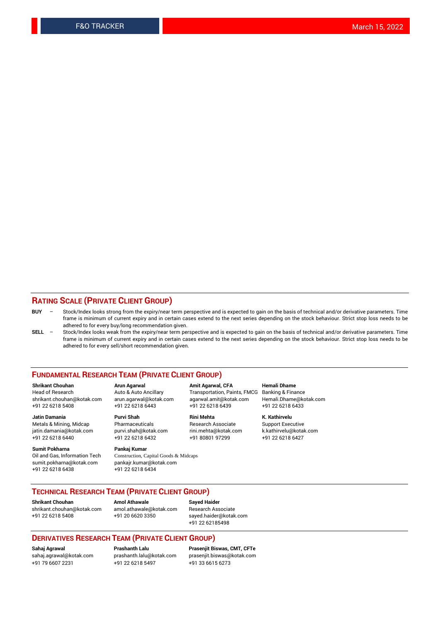### **RATING SCALE (PRIVATE CLIENT GROUP)**

- **BUY**  Stock/Index looks strong from the expiry/near term perspective and is expected to gain on the basis of technical and/or derivative parameters. Time frame is minimum of current expiry and in certain cases extend to the next series depending on the stock behaviour. Strict stop loss needs to be adhered to for every buy/long recommendation given.
- **SELL** Stock/Index looks weak from the expiry/near term perspective and is expected to gain on the basis of technical and/or derivative parameters. Time frame is minimum of current expiry and in certain cases extend to the next series depending on the stock behaviour. Strict stop loss needs to be adhered to for every sell/short recommendation given.

#### **FUNDAMENTAL RESEARCH TEAM (PRIVATE CLIENT GROUP)**

**Shrikant Chouhan Arun Agarwal Amit Agarwal, CFA Hemali Dhame** shrikant.chouhan@kotak.com arun.agarwal@kotak.com agarwal.amit@kotak.com Hemali.Dhame@kotak.com +91 22 6218 5408 +91 22 6218 6443 +91 22 6218 6439 +91 22 6218 6433

jatin.damania@kotak.com +91 22 6218 6440 +91 22 6218 6432 +91 80801 97299 +91 22 6218 6427

**Sumit Pokharna** Pankaj Kumar<br>Oil and Gas, Information Tech Construction, C sumit.pokharna@kotak.com pankajr.kumar@kotak.com +91 22 6218 6438 +91 22 6218 6434

**Jatin Damania Purvi Shah Rini Mehta K. Kathirvelu**

Construction, Capital Goods & Midcaps

Transportation, Paints, FMCG

Metals & Mining, Midcap Pharmaceuticals Pharmaceuticals Research Associate Support Executive<br>
iatin.damania@kotak.com purvi.shah@kotak.com rini.mehta@kotak.com k.kathirvelu@kotak.com

### **TECHNICAL RESEARCH TEAM (PRIVATE CLIENT GROUP)**

[shrikant.chouhan@kotak.com](mailto:shrikant.chouhan@kotak.com) [amol.athawale@kotak.com](mailto:amol.athawale@kotak.com) Research Associate +91 22 6218 5408 +91 20 6620 3350 [sayed.haider@kotak.com](mailto:sayed.haider@kotak.com)

**Shrikant Chouhan Amol Athawale Sayed Haider**

+91 22 62185498

#### **DERIVATIVES RESEARCH TEAM (PRIVATE CLIENT GROUP)**

+91 79 6607 2231 +91 22 6218 5497 +91 33 6615 6273

**Sahaj Agrawal Prashanth Lalu Prasenjit Biswas, CMT, CFTe** [prasenjit.biswas@kotak.com](mailto:prasenjit.biswas@kotak.com)